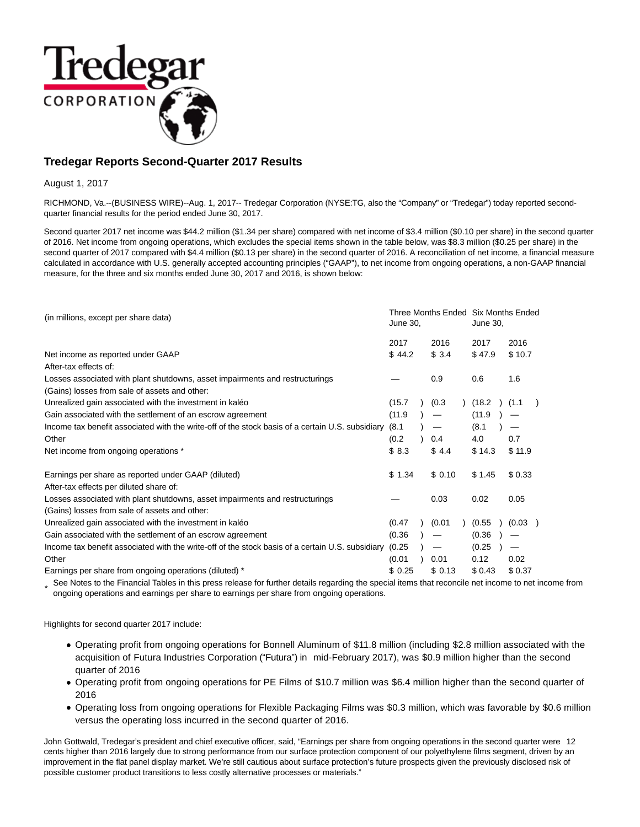

# **Tredegar Reports Second-Quarter 2017 Results**

August 1, 2017

RICHMOND, Va.--(BUSINESS WIRE)--Aug. 1, 2017-- Tredegar Corporation (NYSE:TG, also the "Company" or "Tredegar") today reported secondquarter financial results for the period ended June 30, 2017.

Second quarter 2017 net income was \$44.2 million (\$1.34 per share) compared with net income of \$3.4 million (\$0.10 per share) in the second quarter of 2016. Net income from ongoing operations, which excludes the special items shown in the table below, was \$8.3 million (\$0.25 per share) in the second quarter of 2017 compared with \$4.4 million (\$0.13 per share) in the second quarter of 2016. A reconciliation of net income, a financial measure calculated in accordance with U.S. generally accepted accounting principles ("GAAP"), to net income from ongoing operations, a non-GAAP financial measure, for the three and six months ended June 30, 2017 and 2016, is shown below:

| (in millions, except per share data)                                                             |        | Three Months Ended Six Months Ended<br>June 30, |                                 |  |        | June 30,          |  |  |
|--------------------------------------------------------------------------------------------------|--------|-------------------------------------------------|---------------------------------|--|--------|-------------------|--|--|
|                                                                                                  | 2017   |                                                 | 2016                            |  | 2017   | 2016              |  |  |
| Net income as reported under GAAP                                                                | \$44.2 |                                                 | \$3.4                           |  | \$47.9 | \$10.7            |  |  |
| After-tax effects of:                                                                            |        |                                                 |                                 |  |        |                   |  |  |
| Losses associated with plant shutdowns, asset impairments and restructurings                     |        |                                                 | 0.9                             |  | 0.6    | 1.6               |  |  |
| (Gains) losses from sale of assets and other:                                                    |        |                                                 |                                 |  |        |                   |  |  |
| Unrealized gain associated with the investment in kaléo                                          | (15.7) |                                                 | (0.3)                           |  | (18.2) | (1.1)             |  |  |
| Gain associated with the settlement of an escrow agreement                                       | (11.9) |                                                 |                                 |  | (11.9) |                   |  |  |
| Income tax benefit associated with the write-off of the stock basis of a certain U.S. subsidiary | (8.1)  |                                                 | $\hspace{0.1mm}-\hspace{0.1mm}$ |  | (8.1)  | $\hspace{0.05cm}$ |  |  |
| Other                                                                                            | (0.2)  |                                                 | 0.4                             |  | 4.0    | 0.7               |  |  |
| Net income from ongoing operations *                                                             | \$8.3  |                                                 | \$4.4                           |  | \$14.3 | \$11.9            |  |  |
| Earnings per share as reported under GAAP (diluted)                                              | \$1.34 |                                                 | \$0.10                          |  | \$1.45 | \$0.33            |  |  |
| After-tax effects per diluted share of:                                                          |        |                                                 |                                 |  |        |                   |  |  |
| Losses associated with plant shutdowns, asset impairments and restructurings                     |        |                                                 | 0.03                            |  | 0.02   | 0.05              |  |  |
| (Gains) losses from sale of assets and other:                                                    |        |                                                 |                                 |  |        |                   |  |  |
| Unrealized gain associated with the investment in kaléo                                          | (0.47) |                                                 | (0.01)                          |  | (0.55) | (0.03)            |  |  |
| Gain associated with the settlement of an escrow agreement                                       | (0.36) |                                                 | —                               |  | (0.36) | —                 |  |  |
| Income tax benefit associated with the write-off of the stock basis of a certain U.S. subsidiary | (0.25) |                                                 | $\qquad \qquad \longleftarrow$  |  | (0.25) |                   |  |  |
| Other                                                                                            | (0.01) |                                                 | 0.01                            |  | 0.12   | 0.02              |  |  |
| Earnings per share from ongoing operations (diluted) *                                           | \$0.25 |                                                 | \$0.13                          |  | \$0.43 | \$0.37            |  |  |

\* See Notes to the Financial Tables in this press release for further details regarding the special items that reconcile net income to net income from<br>A security approximate and acreiting any share to exating a security ac ongoing operations and earnings per share to earnings per share from ongoing operations.

Highlights for second quarter 2017 include:

- Operating profit from ongoing operations for Bonnell Aluminum of \$11.8 million (including \$2.8 million associated with the acquisition of Futura Industries Corporation ("Futura") in mid-February 2017), was \$0.9 million higher than the second quarter of 2016
- Operating profit from ongoing operations for PE Films of \$10.7 million was \$6.4 million higher than the second quarter of 2016
- Operating loss from ongoing operations for Flexible Packaging Films was \$0.3 million, which was favorable by \$0.6 million versus the operating loss incurred in the second quarter of 2016.

John Gottwald, Tredegar's president and chief executive officer, said, "Earnings per share from ongoing operations in the second quarter were 12 cents higher than 2016 largely due to strong performance from our surface protection component of our polyethylene films segment, driven by an improvement in the flat panel display market. We're still cautious about surface protection's future prospects given the previously disclosed risk of possible customer product transitions to less costly alternative processes or materials."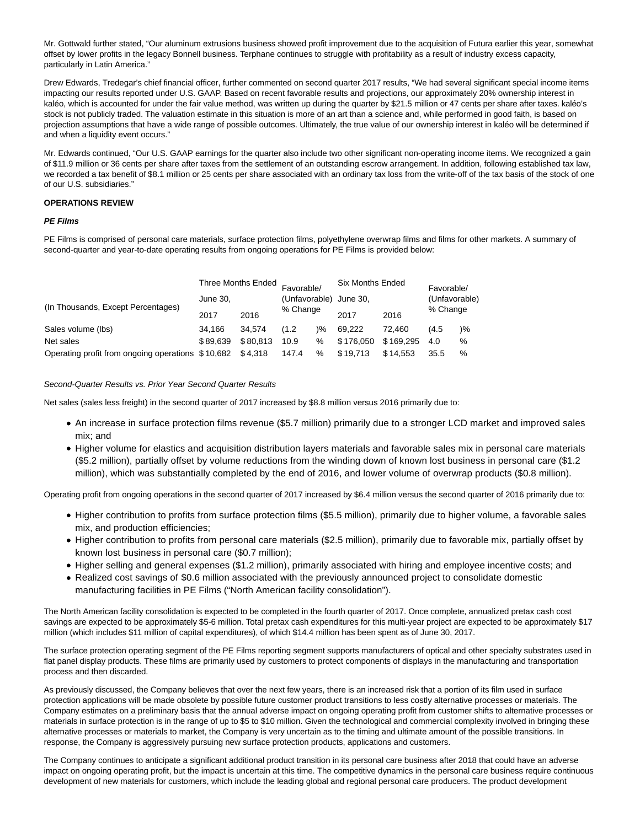Mr. Gottwald further stated, "Our aluminum extrusions business showed profit improvement due to the acquisition of Futura earlier this year, somewhat offset by lower profits in the legacy Bonnell business. Terphane continues to struggle with profitability as a result of industry excess capacity, particularly in Latin America."

Drew Edwards, Tredegar's chief financial officer, further commented on second quarter 2017 results, "We had several significant special income items impacting our results reported under U.S. GAAP. Based on recent favorable results and projections, our approximately 20% ownership interest in kaléo, which is accounted for under the fair value method, was written up during the quarter by \$21.5 million or 47 cents per share after taxes. kaléo's stock is not publicly traded. The valuation estimate in this situation is more of an art than a science and, while performed in good faith, is based on projection assumptions that have a wide range of possible outcomes. Ultimately, the true value of our ownership interest in kaléo will be determined if and when a liquidity event occurs."

Mr. Edwards continued, "Our U.S. GAAP earnings for the quarter also include two other significant non-operating income items. We recognized a gain of \$11.9 million or 36 cents per share after taxes from the settlement of an outstanding escrow arrangement. In addition, following established tax law, we recorded a tax benefit of \$8.1 million or 25 cents per share associated with an ordinary tax loss from the write-off of the tax basis of the stock of one of our U.S. subsidiaries."

## **OPERATIONS REVIEW**

# **PE Films**

PE Films is comprised of personal care materials, surface protection films, polyethylene overwrap films and films for other markets. A summary of second-quarter and year-to-date operating results from ongoing operations for PE Films is provided below:

|                                                   |          | Three Months Ended |                        |               | <b>Six Months Ended</b><br>Favorable/ |               |       |    | Favorable/ |  |      |  |          |  |
|---------------------------------------------------|----------|--------------------|------------------------|---------------|---------------------------------------|---------------|-------|----|------------|--|------|--|----------|--|
|                                                   | June 30. |                    | (Unfavorable) June 30, |               |                                       | (Unfavorable) |       |    |            |  |      |  |          |  |
| (In Thousands, Except Percentages)                | 2017     | 2016               | % Change               |               |                                       |               |       |    | 2017       |  | 2016 |  | % Change |  |
| Sales volume (lbs)                                | 34.166   | 34.574             | (1.2)                  | $\frac{9}{6}$ | 69.222                                | 72.460        | (4.5) | )% |            |  |      |  |          |  |
| Net sales                                         | \$89.639 | \$80.813           | 10.9                   | $\%$          | \$176.050                             | \$169.295     | 4.0   | %  |            |  |      |  |          |  |
| Operating profit from ongoing operations \$10,682 |          | \$4,318            | 147.4                  | %             | \$19.713                              | \$14.553      | 35.5  | %  |            |  |      |  |          |  |

### Second-Quarter Results vs. Prior Year Second Quarter Results

Net sales (sales less freight) in the second quarter of 2017 increased by \$8.8 million versus 2016 primarily due to:

- An increase in surface protection films revenue (\$5.7 million) primarily due to a stronger LCD market and improved sales mix; and
- Higher volume for elastics and acquisition distribution layers materials and favorable sales mix in personal care materials (\$5.2 million), partially offset by volume reductions from the winding down of known lost business in personal care (\$1.2 million), which was substantially completed by the end of 2016, and lower volume of overwrap products (\$0.8 million).

Operating profit from ongoing operations in the second quarter of 2017 increased by \$6.4 million versus the second quarter of 2016 primarily due to:

- Higher contribution to profits from surface protection films (\$5.5 million), primarily due to higher volume, a favorable sales mix, and production efficiencies;
- Higher contribution to profits from personal care materials (\$2.5 million), primarily due to favorable mix, partially offset by known lost business in personal care (\$0.7 million);
- Higher selling and general expenses (\$1.2 million), primarily associated with hiring and employee incentive costs; and
- Realized cost savings of \$0.6 million associated with the previously announced project to consolidate domestic manufacturing facilities in PE Films ("North American facility consolidation").

The North American facility consolidation is expected to be completed in the fourth quarter of 2017. Once complete, annualized pretax cash cost savings are expected to be approximately \$5-6 million. Total pretax cash expenditures for this multi-year project are expected to be approximately \$17 million (which includes \$11 million of capital expenditures), of which \$14.4 million has been spent as of June 30, 2017.

The surface protection operating segment of the PE Films reporting segment supports manufacturers of optical and other specialty substrates used in flat panel display products. These films are primarily used by customers to protect components of displays in the manufacturing and transportation process and then discarded.

As previously discussed, the Company believes that over the next few years, there is an increased risk that a portion of its film used in surface protection applications will be made obsolete by possible future customer product transitions to less costly alternative processes or materials. The Company estimates on a preliminary basis that the annual adverse impact on ongoing operating profit from customer shifts to alternative processes or materials in surface protection is in the range of up to \$5 to \$10 million. Given the technological and commercial complexity involved in bringing these alternative processes or materials to market, the Company is very uncertain as to the timing and ultimate amount of the possible transitions. In response, the Company is aggressively pursuing new surface protection products, applications and customers.

The Company continues to anticipate a significant additional product transition in its personal care business after 2018 that could have an adverse impact on ongoing operating profit, but the impact is uncertain at this time. The competitive dynamics in the personal care business require continuous development of new materials for customers, which include the leading global and regional personal care producers. The product development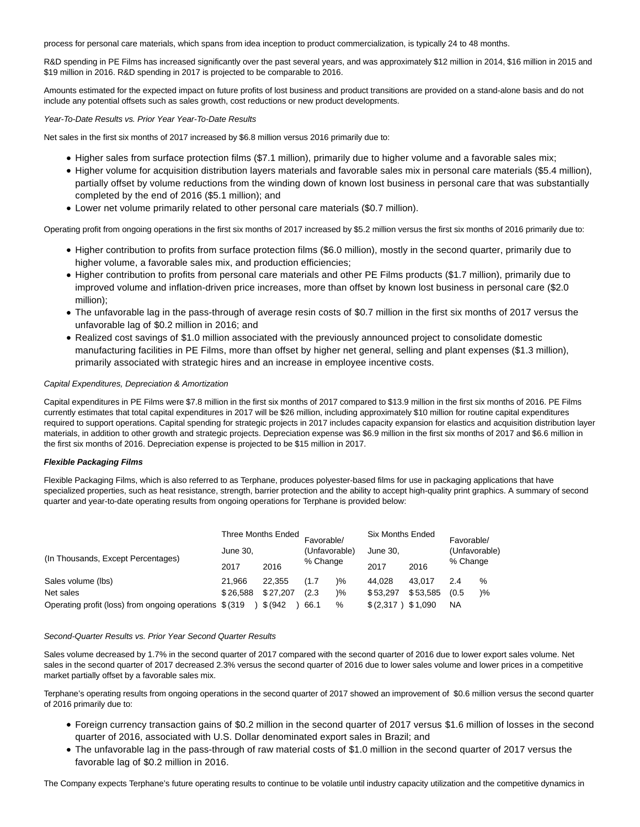process for personal care materials, which spans from idea inception to product commercialization, is typically 24 to 48 months.

R&D spending in PE Films has increased significantly over the past several years, and was approximately \$12 million in 2014, \$16 million in 2015 and \$19 million in 2016. R&D spending in 2017 is projected to be comparable to 2016.

Amounts estimated for the expected impact on future profits of lost business and product transitions are provided on a stand-alone basis and do not include any potential offsets such as sales growth, cost reductions or new product developments.

Year-To-Date Results vs. Prior Year Year-To-Date Results

Net sales in the first six months of 2017 increased by \$6.8 million versus 2016 primarily due to:

- Higher sales from surface protection films (\$7.1 million), primarily due to higher volume and a favorable sales mix;
- Higher volume for acquisition distribution layers materials and favorable sales mix in personal care materials (\$5.4 million), partially offset by volume reductions from the winding down of known lost business in personal care that was substantially completed by the end of 2016 (\$5.1 million); and
- Lower net volume primarily related to other personal care materials (\$0.7 million).

Operating profit from ongoing operations in the first six months of 2017 increased by \$5.2 million versus the first six months of 2016 primarily due to:

- Higher contribution to profits from surface protection films (\$6.0 million), mostly in the second quarter, primarily due to higher volume, a favorable sales mix, and production efficiencies;
- Higher contribution to profits from personal care materials and other PE Films products (\$1.7 million), primarily due to improved volume and inflation-driven price increases, more than offset by known lost business in personal care (\$2.0 million);
- The unfavorable lag in the pass-through of average resin costs of \$0.7 million in the first six months of 2017 versus the unfavorable lag of \$0.2 million in 2016; and
- Realized cost savings of \$1.0 million associated with the previously announced project to consolidate domestic manufacturing facilities in PE Films, more than offset by higher net general, selling and plant expenses (\$1.3 million), primarily associated with strategic hires and an increase in employee incentive costs.

## Capital Expenditures, Depreciation & Amortization

Capital expenditures in PE Films were \$7.8 million in the first six months of 2017 compared to \$13.9 million in the first six months of 2016. PE Films currently estimates that total capital expenditures in 2017 will be \$26 million, including approximately \$10 million for routine capital expenditures required to support operations. Capital spending for strategic projects in 2017 includes capacity expansion for elastics and acquisition distribution layer materials, in addition to other growth and strategic projects. Depreciation expense was \$6.9 million in the first six months of 2017 and \$6.6 million in the first six months of 2016. Depreciation expense is projected to be \$15 million in 2017.

### **Flexible Packaging Films**

Flexible Packaging Films, which is also referred to as Terphane, produces polyester-based films for use in packaging applications that have specialized properties, such as heat resistance, strength, barrier protection and the ability to accept high-quality print graphics. A summary of second quarter and year-to-date operating results from ongoing operations for Terphane is provided below:

|                                                         |          | Three Months Ended | Favorable/    |               | Six Months Ended |          | Favorable/    |               |
|---------------------------------------------------------|----------|--------------------|---------------|---------------|------------------|----------|---------------|---------------|
|                                                         | June 30. |                    | (Unfavorable) |               | June 30.         |          | (Unfavorable) |               |
| (In Thousands, Except Percentages)                      | 2017     | 2016               | % Change      |               | 2016<br>2017     |          | % Change      |               |
| Sales volume (lbs)                                      | 21.966   | 22.355             | (1.7)         | $\frac{9}{6}$ | 44.028           | 43.017   | 2.4           | %             |
| Net sales                                               | \$26.588 | \$27.207           | (2.3)         | $\frac{9}{6}$ | \$53.297         | \$53,585 | (0.5)         | $\frac{9}{6}$ |
| Operating profit (loss) from ongoing operations \$(319) |          | \$ (942)           | 66.1          | %             | \$(2,317)        | \$1,090  | ΝA            |               |

Second-Quarter Results vs. Prior Year Second Quarter Results

Sales volume decreased by 1.7% in the second quarter of 2017 compared with the second quarter of 2016 due to lower export sales volume. Net sales in the second quarter of 2017 decreased 2.3% versus the second quarter of 2016 due to lower sales volume and lower prices in a competitive market partially offset by a favorable sales mix.

Terphane's operating results from ongoing operations in the second quarter of 2017 showed an improvement of \$0.6 million versus the second quarter of 2016 primarily due to:

- Foreign currency transaction gains of \$0.2 million in the second quarter of 2017 versus \$1.6 million of losses in the second quarter of 2016, associated with U.S. Dollar denominated export sales in Brazil; and
- The unfavorable lag in the pass-through of raw material costs of \$1.0 million in the second quarter of 2017 versus the favorable lag of \$0.2 million in 2016.

The Company expects Terphane's future operating results to continue to be volatile until industry capacity utilization and the competitive dynamics in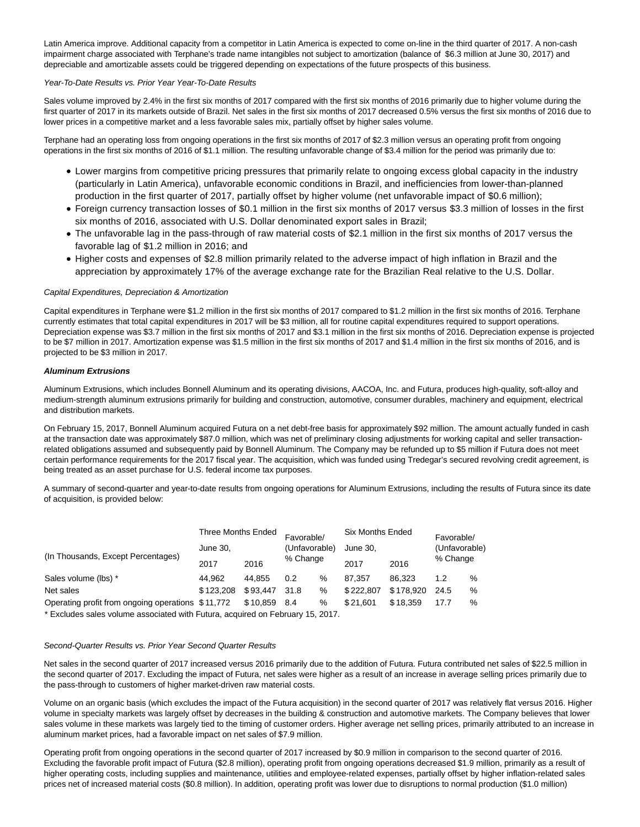Latin America improve. Additional capacity from a competitor in Latin America is expected to come on-line in the third quarter of 2017. A non-cash impairment charge associated with Terphane's trade name intangibles not subject to amortization (balance of \$6.3 million at June 30, 2017) and depreciable and amortizable assets could be triggered depending on expectations of the future prospects of this business.

#### Year-To-Date Results vs. Prior Year Year-To-Date Results

Sales volume improved by 2.4% in the first six months of 2017 compared with the first six months of 2016 primarily due to higher volume during the first quarter of 2017 in its markets outside of Brazil. Net sales in the first six months of 2017 decreased 0.5% versus the first six months of 2016 due to lower prices in a competitive market and a less favorable sales mix, partially offset by higher sales volume.

Terphane had an operating loss from ongoing operations in the first six months of 2017 of \$2.3 million versus an operating profit from ongoing operations in the first six months of 2016 of \$1.1 million. The resulting unfavorable change of \$3.4 million for the period was primarily due to:

- Lower margins from competitive pricing pressures that primarily relate to ongoing excess global capacity in the industry (particularly in Latin America), unfavorable economic conditions in Brazil, and inefficiencies from lower-than-planned production in the first quarter of 2017, partially offset by higher volume (net unfavorable impact of \$0.6 million);
- Foreign currency transaction losses of \$0.1 million in the first six months of 2017 versus \$3.3 million of losses in the first six months of 2016, associated with U.S. Dollar denominated export sales in Brazil;
- The unfavorable lag in the pass-through of raw material costs of \$2.1 million in the first six months of 2017 versus the favorable lag of \$1.2 million in 2016; and
- Higher costs and expenses of \$2.8 million primarily related to the adverse impact of high inflation in Brazil and the appreciation by approximately 17% of the average exchange rate for the Brazilian Real relative to the U.S. Dollar.

#### Capital Expenditures, Depreciation & Amortization

Capital expenditures in Terphane were \$1.2 million in the first six months of 2017 compared to \$1.2 million in the first six months of 2016. Terphane currently estimates that total capital expenditures in 2017 will be \$3 million, all for routine capital expenditures required to support operations. Depreciation expense was \$3.7 million in the first six months of 2017 and \$3.1 million in the first six months of 2016. Depreciation expense is projected to be \$7 million in 2017. Amortization expense was \$1.5 million in the first six months of 2017 and \$1.4 million in the first six months of 2016, and is projected to be \$3 million in 2017.

#### **Aluminum Extrusions**

Aluminum Extrusions, which includes Bonnell Aluminum and its operating divisions, AACOA, Inc. and Futura, produces high-quality, soft-alloy and medium-strength aluminum extrusions primarily for building and construction, automotive, consumer durables, machinery and equipment, electrical and distribution markets.

On February 15, 2017, Bonnell Aluminum acquired Futura on a net debt-free basis for approximately \$92 million. The amount actually funded in cash at the transaction date was approximately \$87.0 million, which was net of preliminary closing adjustments for working capital and seller transactionrelated obligations assumed and subsequently paid by Bonnell Aluminum. The Company may be refunded up to \$5 million if Futura does not meet certain performance requirements for the 2017 fiscal year. The acquisition, which was funded using Tredegar's secured revolving credit agreement, is being treated as an asset purchase for U.S. federal income tax purposes.

A summary of second-quarter and year-to-date results from ongoing operations for Aluminum Extrusions, including the results of Futura since its date of acquisition, is provided below:

|                                                   | <b>Three Months Ended</b> |          | Favorable/    |   | <b>Six Months Ended</b> | Favorable/    |      |      |              |  |          |  |
|---------------------------------------------------|---------------------------|----------|---------------|---|-------------------------|---------------|------|------|--------------|--|----------|--|
|                                                   | June 30.                  |          | (Unfavorable) |   | June 30.                | (Unfavorable) |      |      |              |  |          |  |
| (In Thousands, Except Percentages)                | 2017                      | 2016     | % Change      |   |                         |               |      |      | 2016<br>2017 |  | % Change |  |
| Sales volume (lbs) *                              | 44.962                    | 44.855   | 0.2           | % | 87.357                  | 86.323        | 1.2  | $\%$ |              |  |          |  |
| Net sales                                         | \$123.208                 | \$93.447 | 31.8          | % | \$222.807               | \$178.920     | 24.5 | %    |              |  |          |  |
| Operating profit from ongoing operations \$11,772 |                           | \$10.859 | 8.4           | % | \$21.601                | \$18.359      | 17.7 | %    |              |  |          |  |

\* Excludes sales volume associated with Futura, acquired on February 15, 2017.

#### Second-Quarter Results vs. Prior Year Second Quarter Results

Net sales in the second quarter of 2017 increased versus 2016 primarily due to the addition of Futura. Futura contributed net sales of \$22.5 million in the second quarter of 2017. Excluding the impact of Futura, net sales were higher as a result of an increase in average selling prices primarily due to the pass-through to customers of higher market-driven raw material costs.

Volume on an organic basis (which excludes the impact of the Futura acquisition) in the second quarter of 2017 was relatively flat versus 2016. Higher volume in specialty markets was largely offset by decreases in the building & construction and automotive markets. The Company believes that lower sales volume in these markets was largely tied to the timing of customer orders. Higher average net selling prices, primarily attributed to an increase in aluminum market prices, had a favorable impact on net sales of \$7.9 million.

Operating profit from ongoing operations in the second quarter of 2017 increased by \$0.9 million in comparison to the second quarter of 2016. Excluding the favorable profit impact of Futura (\$2.8 million), operating profit from ongoing operations decreased \$1.9 million, primarily as a result of higher operating costs, including supplies and maintenance, utilities and employee-related expenses, partially offset by higher inflation-related sales prices net of increased material costs (\$0.8 million). In addition, operating profit was lower due to disruptions to normal production (\$1.0 million)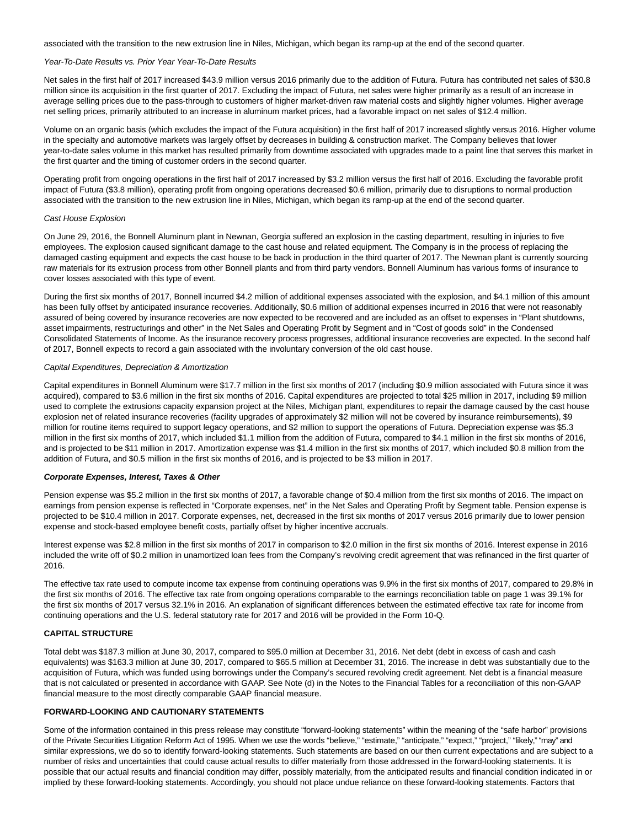associated with the transition to the new extrusion line in Niles, Michigan, which began its ramp-up at the end of the second quarter.

## Year-To-Date Results vs. Prior Year Year-To-Date Results

Net sales in the first half of 2017 increased \$43.9 million versus 2016 primarily due to the addition of Futura. Futura has contributed net sales of \$30.8 million since its acquisition in the first quarter of 2017. Excluding the impact of Futura, net sales were higher primarily as a result of an increase in average selling prices due to the pass-through to customers of higher market-driven raw material costs and slightly higher volumes. Higher average net selling prices, primarily attributed to an increase in aluminum market prices, had a favorable impact on net sales of \$12.4 million.

Volume on an organic basis (which excludes the impact of the Futura acquisition) in the first half of 2017 increased slightly versus 2016. Higher volume in the specialty and automotive markets was largely offset by decreases in building & construction market. The Company believes that lower year-to-date sales volume in this market has resulted primarily from downtime associated with upgrades made to a paint line that serves this market in the first quarter and the timing of customer orders in the second quarter.

Operating profit from ongoing operations in the first half of 2017 increased by \$3.2 million versus the first half of 2016. Excluding the favorable profit impact of Futura (\$3.8 million), operating profit from ongoing operations decreased \$0.6 million, primarily due to disruptions to normal production associated with the transition to the new extrusion line in Niles, Michigan, which began its ramp-up at the end of the second quarter.

#### Cast House Explosion

On June 29, 2016, the Bonnell Aluminum plant in Newnan, Georgia suffered an explosion in the casting department, resulting in injuries to five employees. The explosion caused significant damage to the cast house and related equipment. The Company is in the process of replacing the damaged casting equipment and expects the cast house to be back in production in the third quarter of 2017. The Newnan plant is currently sourcing raw materials for its extrusion process from other Bonnell plants and from third party vendors. Bonnell Aluminum has various forms of insurance to cover losses associated with this type of event.

During the first six months of 2017, Bonnell incurred \$4.2 million of additional expenses associated with the explosion, and \$4.1 million of this amount has been fully offset by anticipated insurance recoveries. Additionally, \$0.6 million of additional expenses incurred in 2016 that were not reasonably assured of being covered by insurance recoveries are now expected to be recovered and are included as an offset to expenses in "Plant shutdowns, asset impairments, restructurings and other" in the Net Sales and Operating Profit by Segment and in "Cost of goods sold" in the Condensed Consolidated Statements of Income. As the insurance recovery process progresses, additional insurance recoveries are expected. In the second half of 2017, Bonnell expects to record a gain associated with the involuntary conversion of the old cast house.

# Capital Expenditures, Depreciation & Amortization

Capital expenditures in Bonnell Aluminum were \$17.7 million in the first six months of 2017 (including \$0.9 million associated with Futura since it was acquired), compared to \$3.6 million in the first six months of 2016. Capital expenditures are projected to total \$25 million in 2017, including \$9 million used to complete the extrusions capacity expansion project at the Niles, Michigan plant, expenditures to repair the damage caused by the cast house explosion net of related insurance recoveries (facility upgrades of approximately \$2 million will not be covered by insurance reimbursements), \$9 million for routine items required to support legacy operations, and \$2 million to support the operations of Futura. Depreciation expense was \$5.3 million in the first six months of 2017, which included \$1.1 million from the addition of Futura, compared to \$4.1 million in the first six months of 2016, and is projected to be \$11 million in 2017. Amortization expense was \$1.4 million in the first six months of 2017, which included \$0.8 million from the addition of Futura, and \$0.5 million in the first six months of 2016, and is projected to be \$3 million in 2017.

#### **Corporate Expenses, Interest, Taxes & Other**

Pension expense was \$5.2 million in the first six months of 2017, a favorable change of \$0.4 million from the first six months of 2016. The impact on earnings from pension expense is reflected in "Corporate expenses, net" in the Net Sales and Operating Profit by Segment table. Pension expense is projected to be \$10.4 million in 2017. Corporate expenses, net, decreased in the first six months of 2017 versus 2016 primarily due to lower pension expense and stock-based employee benefit costs, partially offset by higher incentive accruals.

Interest expense was \$2.8 million in the first six months of 2017 in comparison to \$2.0 million in the first six months of 2016. Interest expense in 2016 included the write off of \$0.2 million in unamortized loan fees from the Company's revolving credit agreement that was refinanced in the first quarter of 2016.

The effective tax rate used to compute income tax expense from continuing operations was 9.9% in the first six months of 2017, compared to 29.8% in the first six months of 2016. The effective tax rate from ongoing operations comparable to the earnings reconciliation table on page 1 was 39.1% for the first six months of 2017 versus 32.1% in 2016. An explanation of significant differences between the estimated effective tax rate for income from continuing operations and the U.S. federal statutory rate for 2017 and 2016 will be provided in the Form 10-Q.

#### **CAPITAL STRUCTURE**

Total debt was \$187.3 million at June 30, 2017, compared to \$95.0 million at December 31, 2016. Net debt (debt in excess of cash and cash equivalents) was \$163.3 million at June 30, 2017, compared to \$65.5 million at December 31, 2016. The increase in debt was substantially due to the acquisition of Futura, which was funded using borrowings under the Company's secured revolving credit agreement. Net debt is a financial measure that is not calculated or presented in accordance with GAAP. See Note (d) in the Notes to the Financial Tables for a reconciliation of this non-GAAP financial measure to the most directly comparable GAAP financial measure.

### **FORWARD-LOOKING AND CAUTIONARY STATEMENTS**

Some of the information contained in this press release may constitute "forward-looking statements" within the meaning of the "safe harbor" provisions of the Private Securities Litigation Reform Act of 1995. When we use the words "believe," "estimate," "anticipate," "expect," "project," "likely," "may" and similar expressions, we do so to identify forward-looking statements. Such statements are based on our then current expectations and are subject to a number of risks and uncertainties that could cause actual results to differ materially from those addressed in the forward-looking statements. It is possible that our actual results and financial condition may differ, possibly materially, from the anticipated results and financial condition indicated in or implied by these forward-looking statements. Accordingly, you should not place undue reliance on these forward-looking statements. Factors that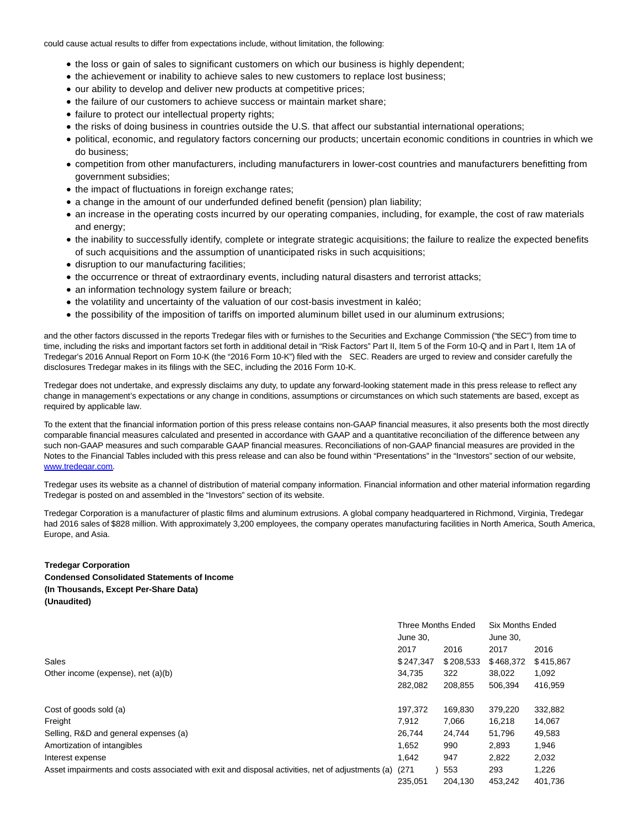could cause actual results to differ from expectations include, without limitation, the following:

- the loss or gain of sales to significant customers on which our business is highly dependent;
- the achievement or inability to achieve sales to new customers to replace lost business;
- our ability to develop and deliver new products at competitive prices;
- the failure of our customers to achieve success or maintain market share;
- failure to protect our intellectual property rights;
- the risks of doing business in countries outside the U.S. that affect our substantial international operations;
- political, economic, and regulatory factors concerning our products; uncertain economic conditions in countries in which we do business;
- competition from other manufacturers, including manufacturers in lower-cost countries and manufacturers benefitting from government subsidies;
- the impact of fluctuations in foreign exchange rates;
- a change in the amount of our underfunded defined benefit (pension) plan liability;
- an increase in the operating costs incurred by our operating companies, including, for example, the cost of raw materials and energy;
- the inability to successfully identify, complete or integrate strategic acquisitions; the failure to realize the expected benefits of such acquisitions and the assumption of unanticipated risks in such acquisitions;
- disruption to our manufacturing facilities;
- the occurrence or threat of extraordinary events, including natural disasters and terrorist attacks;
- an information technology system failure or breach;
- the volatility and uncertainty of the valuation of our cost-basis investment in kaléo;
- the possibility of the imposition of tariffs on imported aluminum billet used in our aluminum extrusions;

and the other factors discussed in the reports Tredegar files with or furnishes to the Securities and Exchange Commission ("the SEC") from time to time, including the risks and important factors set forth in additional detail in "Risk Factors" Part II, Item 5 of the Form 10-Q and in Part I, Item 1A of Tredegar's 2016 Annual Report on Form 10-K (the "2016 Form 10-K") filed with the SEC. Readers are urged to review and consider carefully the disclosures Tredegar makes in its filings with the SEC, including the 2016 Form 10-K.

Tredegar does not undertake, and expressly disclaims any duty, to update any forward-looking statement made in this press release to reflect any change in management's expectations or any change in conditions, assumptions or circumstances on which such statements are based, except as required by applicable law.

To the extent that the financial information portion of this press release contains non-GAAP financial measures, it also presents both the most directly comparable financial measures calculated and presented in accordance with GAAP and a quantitative reconciliation of the difference between any such non-GAAP measures and such comparable GAAP financial measures. Reconciliations of non-GAAP financial measures are provided in the Notes to the Financial Tables included with this press release and can also be found within "Presentations" in the "Investors" section of our website, [www.tredegar.com.](http://cts.businesswire.com/ct/CT?id=smartlink&url=http%3A%2F%2Fwww.tredegar.com&esheet=51607133&newsitemid=20170801006848&lan=en-US&anchor=www.tredegar.com&index=1&md5=7b03c6e644fbdfb8ad8a7472d1e5f74d)

Tredegar uses its website as a channel of distribution of material company information. Financial information and other material information regarding Tredegar is posted on and assembled in the "Investors" section of its website.

Tredegar Corporation is a manufacturer of plastic films and aluminum extrusions. A global company headquartered in Richmond, Virginia, Tredegar had 2016 sales of \$828 million. With approximately 3,200 employees, the company operates manufacturing facilities in North America, South America, Europe, and Asia.

# **Tredegar Corporation Condensed Consolidated Statements of Income (In Thousands, Except Per-Share Data) (Unaudited)**

|                                                                                                  | <b>Three Months Ended</b> |           | <b>Six Months Ended</b> |           |  |
|--------------------------------------------------------------------------------------------------|---------------------------|-----------|-------------------------|-----------|--|
|                                                                                                  | June 30.                  |           | June 30.                |           |  |
|                                                                                                  | 2017                      | 2016      | 2017                    | 2016      |  |
| <b>Sales</b>                                                                                     | \$247,347                 | \$208,533 | \$468,372               | \$415,867 |  |
| Other income (expense), net (a)(b)                                                               | 34,735                    | 322       | 38,022                  | 1,092     |  |
|                                                                                                  | 282.082                   | 208,855   | 506,394                 | 416,959   |  |
| Cost of goods sold (a)                                                                           | 197.372                   | 169.830   | 379,220                 | 332,882   |  |
| Freight                                                                                          | 7.912                     | 7,066     | 16,218                  | 14,067    |  |
| Selling, R&D and general expenses (a)                                                            | 26.744                    | 24.744    | 51,796                  | 49,583    |  |
| Amortization of intangibles                                                                      | 1,652                     | 990       | 2,893                   | 1,946     |  |
| Interest expense                                                                                 | 1,642                     | 947       | 2,822                   | 2,032     |  |
| Asset impairments and costs associated with exit and disposal activities, net of adjustments (a) | (271)                     | 553       | 293                     | 1,226     |  |
|                                                                                                  | 235,051                   | 204,130   | 453,242                 | 401,736   |  |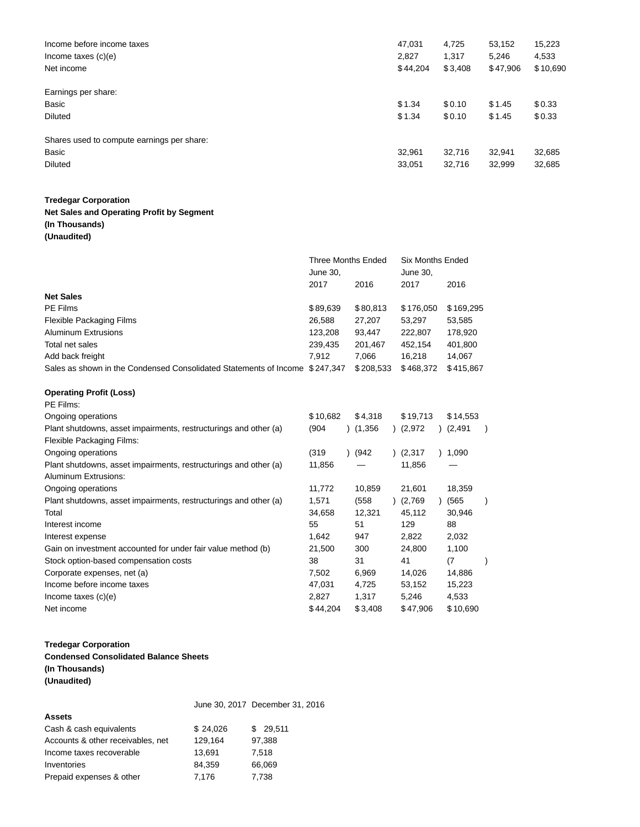| Income before income taxes<br>Income taxes $(c)(e)$<br>Net income | 47,031<br>2.827<br>\$44,204 | 4,725<br>1,317<br>\$3,408 | 53,152<br>5,246<br>\$47,906 | 15,223<br>4,533<br>\$10,690 |
|-------------------------------------------------------------------|-----------------------------|---------------------------|-----------------------------|-----------------------------|
| Earnings per share:                                               |                             |                           |                             |                             |
| Basic                                                             | \$1.34                      | \$0.10                    | \$1.45                      | \$0.33                      |
| <b>Diluted</b>                                                    | \$1.34                      | \$0.10                    | \$1.45                      | \$0.33                      |
| Shares used to compute earnings per share:                        |                             |                           |                             |                             |
| Basic                                                             | 32,961                      | 32,716                    | 32,941                      | 32,685                      |
| <b>Diluted</b>                                                    | 33,051                      | 32,716                    | 32,999                      | 32,685                      |

# **Tredegar Corporation**

# **Net Sales and Operating Profit by Segment (In Thousands) (Unaudited)**

|                                                                             | Three Months Ended<br>June 30, |           | Six Months Ended<br>June 30, |           |
|-----------------------------------------------------------------------------|--------------------------------|-----------|------------------------------|-----------|
|                                                                             | 2017                           | 2016      | 2017                         | 2016      |
| <b>Net Sales</b>                                                            |                                |           |                              |           |
| <b>PE Films</b>                                                             | \$89,639                       | \$80,813  | \$176,050                    | \$169,295 |
| Flexible Packaging Films                                                    | 26,588                         | 27,207    | 53.297                       | 53,585    |
| <b>Aluminum Extrusions</b>                                                  | 123.208                        | 93.447    | 222.807                      | 178,920   |
| Total net sales                                                             | 239,435                        | 201,467   | 452,154                      | 401,800   |
| Add back freight                                                            | 7.912                          | 7.066     | 16.218                       | 14,067    |
| Sales as shown in the Condensed Consolidated Statements of Income \$247,347 |                                | \$208.533 | \$468.372                    | \$415.867 |

# **Operating Profit (Loss)**

| PE Films:                                                        |          |         |          |          |  |
|------------------------------------------------------------------|----------|---------|----------|----------|--|
| Ongoing operations                                               | \$10,682 | \$4,318 | \$19,713 | \$14,553 |  |
| Plant shutdowns, asset impairments, restructurings and other (a) | (904     | )(1,356 | (2,972)  | (2, 491) |  |
| Flexible Packaging Films:                                        |          |         |          |          |  |
| Ongoing operations                                               | (319)    | ) (942  | (2, 317) | 1,090    |  |
| Plant shutdowns, asset impairments, restructurings and other (a) | 11,856   |         | 11,856   |          |  |
| Aluminum Extrusions:                                             |          |         |          |          |  |
| Ongoing operations                                               | 11,772   | 10,859  | 21,601   | 18,359   |  |
| Plant shutdowns, asset impairments, restructurings and other (a) | 1,571    | (558    | (2,769)  | (565     |  |
| Total                                                            | 34,658   | 12,321  | 45,112   | 30,946   |  |
| Interest income                                                  | 55       | 51      | 129      | 88       |  |
| Interest expense                                                 | 1,642    | 947     | 2,822    | 2,032    |  |
| Gain on investment accounted for under fair value method (b)     | 21,500   | 300     | 24,800   | 1,100    |  |
| Stock option-based compensation costs                            | 38       | 31      | 41       | (7)      |  |
| Corporate expenses, net (a)                                      | 7,502    | 6,969   | 14,026   | 14,886   |  |
| Income before income taxes                                       | 47,031   | 4,725   | 53,152   | 15,223   |  |
| Income taxes $(c)(e)$                                            | 2,827    | 1,317   | 5,246    | 4,533    |  |
| Net income                                                       | \$44,204 | \$3,408 | \$47,906 | \$10,690 |  |

# **Tredegar Corporation**

**Condensed Consolidated Balance Sheets (In Thousands) (Unaudited)**

|                                   |          | June 30, 2017 December 31, 2016 |
|-----------------------------------|----------|---------------------------------|
| <b>Assets</b>                     |          |                                 |
| Cash & cash equivalents           | \$24,026 | \$29,511                        |
| Accounts & other receivables, net | 129,164  | 97,388                          |
| Income taxes recoverable          | 13.691   | 7.518                           |
| Inventories                       | 84.359   | 66,069                          |
| Prepaid expenses & other          | 7.176    | 7,738                           |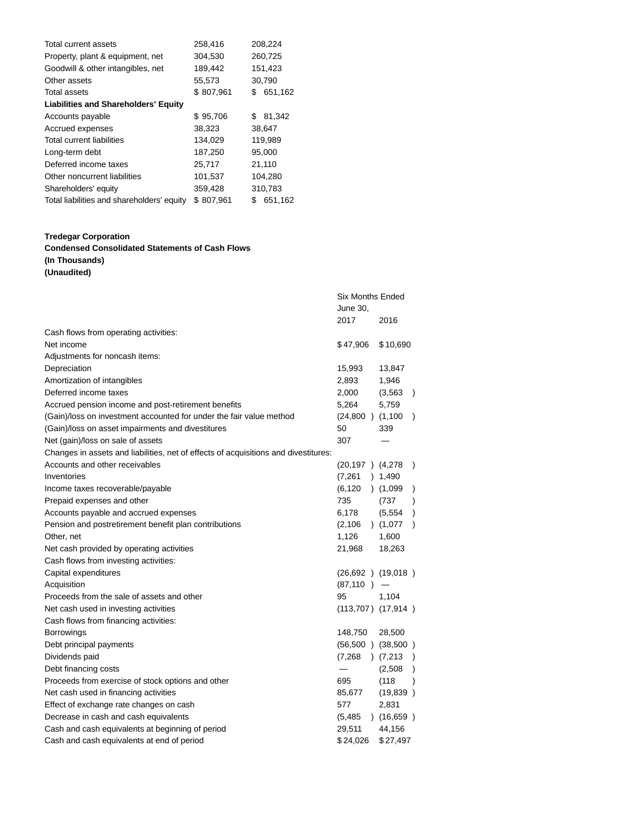| <b>Total current assets</b>                 | 258,416   | 208,224       |
|---------------------------------------------|-----------|---------------|
| Property, plant & equipment, net            | 304,530   | 260,725       |
| Goodwill & other intangibles, net           | 189,442   | 151,423       |
| Other assets                                | 55,573    | 30,790        |
| <b>Total assets</b>                         | \$807,961 | 651,162<br>\$ |
| <b>Liabilities and Shareholders' Equity</b> |           |               |
| Accounts payable                            | \$95,706  | 81,342<br>\$  |
| Accrued expenses                            | 38,323    | 38,647        |
| <b>Total current liabilities</b>            | 134,029   | 119,989       |
| Long-term debt                              | 187,250   | 95,000        |
| Deferred income taxes                       | 25,717    | 21,110        |
| Other noncurrent liabilities                | 101,537   | 104,280       |
| Shareholders' equity                        | 359,428   | 310,783       |
| Total liabilities and shareholders' equity  | \$807,961 | \$<br>651,162 |

# **Tredegar Corporation**

# **Condensed Consolidated Statements of Cash Flows**

# **(In Thousands)**

**(Unaudited)**

|                                                                                     | <b>Six Months Ended</b><br>June 30, |           |               |
|-------------------------------------------------------------------------------------|-------------------------------------|-----------|---------------|
|                                                                                     | 2017                                | 2016      |               |
| Cash flows from operating activities:                                               |                                     |           |               |
| Net income                                                                          | \$47,906                            | \$10,690  |               |
| Adjustments for noncash items:                                                      |                                     |           |               |
| Depreciation                                                                        | 15,993                              | 13,847    |               |
| Amortization of intangibles                                                         | 2,893                               | 1,946     |               |
| Deferred income taxes                                                               | 2,000                               | (3, 563)  | $\rightarrow$ |
| Accrued pension income and post-retirement benefits                                 | 5,264                               | 5,759     |               |
| (Gain)/loss on investment accounted for under the fair value method                 | $(24,800)$ $(1,100)$                |           | $\lambda$     |
| (Gain)/loss on asset impairments and divestitures                                   | 50                                  | 339       |               |
| Net (gain)/loss on sale of assets                                                   | 307                                 |           |               |
| Changes in assets and liabilities, net of effects of acquisitions and divestitures: |                                     |           |               |
| Accounts and other receivables                                                      | $(20, 197)$ $(4, 278)$              |           | $\lambda$     |
| Inventories                                                                         | $(7,261)$ 1,490                     |           |               |
| Income taxes recoverable/payable                                                    | $(6,120)$ $(1,099)$                 |           | $\lambda$     |
| Prepaid expenses and other                                                          | 735                                 | (737)     | $\lambda$     |
| Accounts payable and accrued expenses                                               | 6,178                               | (5, 554)  | $\lambda$     |
| Pension and postretirement benefit plan contributions                               | $(2,106)$ $(1,077)$                 |           | $\lambda$     |
| Other, net                                                                          | 1,126                               | 1,600     |               |
| Net cash provided by operating activities                                           | 21,968                              | 18,263    |               |
| Cash flows from investing activities:                                               |                                     |           |               |
| Capital expenditures                                                                | $(26,692)$ $(19,018)$               |           |               |
| Acquisition                                                                         | $(87, 110)$ –                       |           |               |
| Proceeds from the sale of assets and other                                          | 95                                  | 1,104     |               |
| Net cash used in investing activities                                               | $(113,707)$ $(17,914)$              |           |               |
| Cash flows from financing activities:                                               |                                     |           |               |
| <b>Borrowings</b>                                                                   | 148,750                             | 28,500    |               |
| Debt principal payments                                                             | $(56,500)$ $(38,500)$               |           |               |
| Dividends paid                                                                      | $(7,268)$ $(7,213)$                 |           | $\lambda$     |
| Debt financing costs                                                                |                                     | (2,508)   | $\lambda$     |
| Proceeds from exercise of stock options and other                                   | 695                                 | (118)     | $\lambda$     |
| Net cash used in financing activities                                               | 85,677                              | (19, 839) |               |
| Effect of exchange rate changes on cash                                             | 577                                 | 2,831     |               |
| Decrease in cash and cash equivalents                                               | $(5,485)$ (16,659)                  |           |               |
| Cash and cash equivalents at beginning of period                                    | 29,511                              | 44,156    |               |
| Cash and cash equivalents at end of period                                          | \$24,026                            | \$27,497  |               |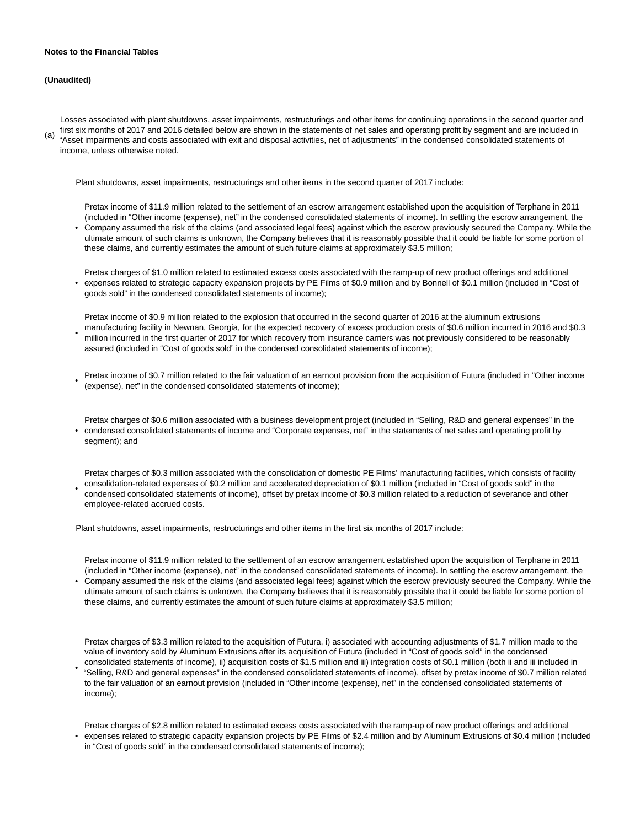#### **Notes to the Financial Tables**

### **(Unaudited)**

(a) Losses associated with plant shutdowns, asset impairments, restructurings and other items for continuing operations in the second quarter and first six months of 2017 and 2016 detailed below are shown in the statements of net sales and operating profit by segment and are included in "Asset impairments and costs associated with exit and disposal activities, net of adjustments" in the condensed consolidated statements of income, unless otherwise noted.

Plant shutdowns, asset impairments, restructurings and other items in the second quarter of 2017 include:

Pretax income of \$11.9 million related to the settlement of an escrow arrangement established upon the acquisition of Terphane in 2011 (included in "Other income (expense), net" in the condensed consolidated statements of income). In settling the escrow arrangement, the

- Company assumed the risk of the claims (and associated legal fees) against which the escrow previously secured the Company. While the ultimate amount of such claims is unknown, the Company believes that it is reasonably possible that it could be liable for some portion of these claims, and currently estimates the amount of such future claims at approximately \$3.5 million;
- Pretax charges of \$1.0 million related to estimated excess costs associated with the ramp-up of new product offerings and additional expenses related to strategic capacity expansion projects by PE Films of \$0.9 million and by Bonnell of \$0.1 million (included in "Cost of goods sold" in the condensed consolidated statements of income);
- Pretax income of \$0.9 million related to the explosion that occurred in the second quarter of 2016 at the aluminum extrusions manufacturing facility in Newnan, Georgia, for the expected recovery of excess production costs of \$0.6 million incurred in 2016 and \$0.3 million incurred in the first quarter of 2017 for which recovery from insurance carriers was not previously considered to be reasonably assured (included in "Cost of goods sold" in the condensed consolidated statements of income);
- Pretax income of \$0.7 million related to the fair valuation of an earnout provision from the acquisition of Futura (included in "Other income (expense), net" in the condensed consolidated statements of income);
- condensed consolidated statements of income and "Corporate expenses, net" in the statements of net sales and operating profit by Pretax charges of \$0.6 million associated with a business development project (included in "Selling, R&D and general expenses" in the segment); and

• Pretax charges of \$0.3 million associated with the consolidation of domestic PE Films' manufacturing facilities, which consists of facility consolidation-related expenses of \$0.2 million and accelerated depreciation of \$0.1 million (included in "Cost of goods sold" in the condensed consolidated statements of income), offset by pretax income of \$0.3 million related to a reduction of severance and other employee-related accrued costs.

Plant shutdowns, asset impairments, restructurings and other items in the first six months of 2017 include:

Pretax income of \$11.9 million related to the settlement of an escrow arrangement established upon the acquisition of Terphane in 2011 (included in "Other income (expense), net" in the condensed consolidated statements of income). In settling the escrow arrangement, the

• Company assumed the risk of the claims (and associated legal fees) against which the escrow previously secured the Company. While the ultimate amount of such claims is unknown, the Company believes that it is reasonably possible that it could be liable for some portion of these claims, and currently estimates the amount of such future claims at approximately \$3.5 million;

Pretax charges of \$3.3 million related to the acquisition of Futura, i) associated with accounting adjustments of \$1.7 million made to the value of inventory sold by Aluminum Extrusions after its acquisition of Futura (included in "Cost of goods sold" in the condensed consolidated statements of income), ii) acquisition costs of \$1.5 million and iii) integration costs of \$0.1 million (both ii and iii included in

• "Selling, R&D and general expenses" in the condensed consolidated statements of income), offset by pretax income of \$0.7 million related to the fair valuation of an earnout provision (included in "Other income (expense), net" in the condensed consolidated statements of income);

• Pretax charges of \$2.8 million related to estimated excess costs associated with the ramp-up of new product offerings and additional expenses related to strategic capacity expansion projects by PE Films of \$2.4 million and by Aluminum Extrusions of \$0.4 million (included in "Cost of goods sold" in the condensed consolidated statements of income);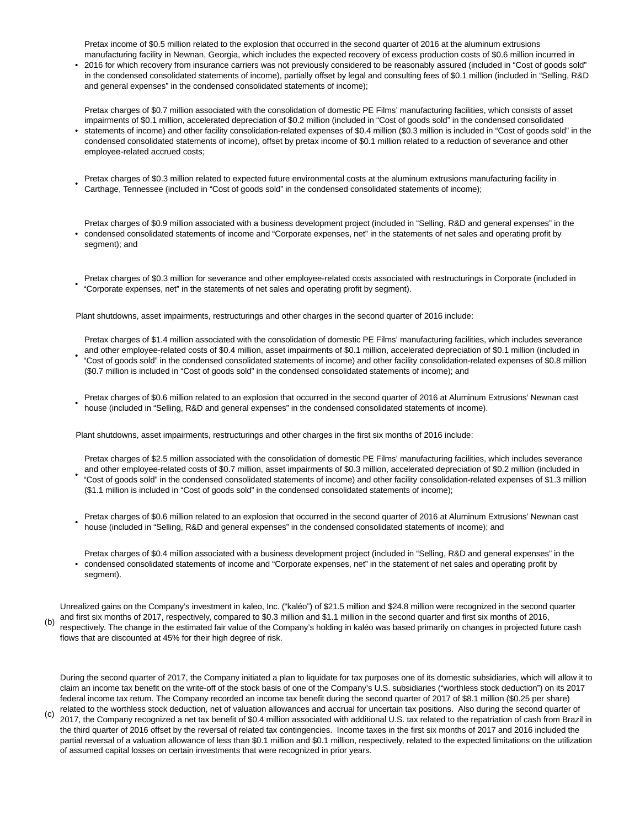Pretax income of \$0.5 million related to the explosion that occurred in the second quarter of 2016 at the aluminum extrusions

• manufacturing facility in Newnan, Georgia, which includes the expected recovery of excess production costs of \$0.6 million incurred in 2016 for which recovery from insurance carriers was not previously considered to be reasonably assured (included in "Cost of goods sold" in the condensed consolidated statements of income), partially offset by legal and consulting fees of \$0.1 million (included in "Selling, R&D and general expenses" in the condensed consolidated statements of income);

Pretax charges of \$0.7 million associated with the consolidation of domestic PE Films' manufacturing facilities, which consists of asset impairments of \$0.1 million, accelerated depreciation of \$0.2 million (included in "Cost of goods sold" in the condensed consolidated

- statements of income) and other facility consolidation-related expenses of \$0.4 million (\$0.3 million is included in "Cost of goods sold" in the condensed consolidated statements of income), offset by pretax income of \$0.1 million related to a reduction of severance and other employee-related accrued costs;
- Pretax charges of \$0.3 million related to expected future environmental costs at the aluminum extrusions manufacturing facility in Carthage, Tennessee (included in "Cost of goods sold" in the condensed consolidated statements of income);

Pretax charges of \$0.9 million associated with a business development project (included in "Selling, R&D and general expenses" in the

- condensed consolidated statements of income and "Corporate expenses, net" in the statements of net sales and operating profit by segment); and
- Pretax charges of \$0.3 million for severance and other employee-related costs associated with restructurings in Corporate (included in "Corporate expenses, net" in the statements of net sales and operating profit by segment).

Plant shutdowns, asset impairments, restructurings and other charges in the second quarter of 2016 include:

• Pretax charges of \$1.4 million associated with the consolidation of domestic PE Films' manufacturing facilities, which includes severance and other employee-related costs of \$0.4 million, asset impairments of \$0.1 million, accelerated depreciation of \$0.1 million (included in "Cost of goods sold" in the condensed consolidated statements of income) and other facility consolidation-related expenses of \$0.8 million (\$0.7 million is included in "Cost of goods sold" in the condensed consolidated statements of income); and

• Pretax charges of \$0.6 million related to an explosion that occurred in the second quarter of 2016 at Aluminum Extrusions' Newnan cast house (included in "Selling, R&D and general expenses" in the condensed consolidated statements of income).

Plant shutdowns, asset impairments, restructurings and other charges in the first six months of 2016 include:

•

Pretax charges of \$2.5 million associated with the consolidation of domestic PE Films' manufacturing facilities, which includes severance and other employee-related costs of \$0.7 million, asset impairments of \$0.3 million, accelerated depreciation of \$0.2 million (included in "Cost of goods sold" in the condensed consolidated statements of income) and other facility consolidation-related expenses of \$1.3 million (\$1.1 million is included in "Cost of goods sold" in the condensed consolidated statements of income);

- Pretax charges of \$0.6 million related to an explosion that occurred in the second quarter of 2016 at Aluminum Extrusions' Newnan cast house (included in "Selling, R&D and general expenses" in the condensed consolidated statements of income); and
- condensed consolidated statements of income and "Corporate expenses, net" in the statement of net sales and operating profit by Pretax charges of \$0.4 million associated with a business development project (included in "Selling, R&D and general expenses" in the segment).

(b) Unrealized gains on the Company's investment in kaleo, Inc. ("kaléo") of \$21.5 million and \$24.8 million were recognized in the second quarter and first six months of 2017, respectively, compared to \$0.3 million and \$1.1 million in the second quarter and first six months of 2016, respectively. The change in the estimated fair value of the Company's holding in kaléo was based primarily on changes in projected future cash flows that are discounted at 45% for their high degree of risk.

During the second quarter of 2017, the Company initiated a plan to liquidate for tax purposes one of its domestic subsidiaries, which will allow it to claim an income tax benefit on the write-off of the stock basis of one of the Company's U.S. subsidiaries ("worthless stock deduction") on its 2017 federal income tax return. The Company recorded an income tax benefit during the second quarter of 2017 of \$8.1 million (\$0.25 per share) related to the worthless stock deduction, net of valuation allowances and accrual for uncertain tax positions. Also during the second quarter of

(c) 2017, the Company recognized a net tax benefit of \$0.4 million associated with additional U.S. tax related to the repatriation of cash from Brazil in the third quarter of 2016 offset by the reversal of related tax contingencies. Income taxes in the first six months of 2017 and 2016 included the partial reversal of a valuation allowance of less than \$0.1 million and \$0.1 million, respectively, related to the expected limitations on the utilization of assumed capital losses on certain investments that were recognized in prior years.